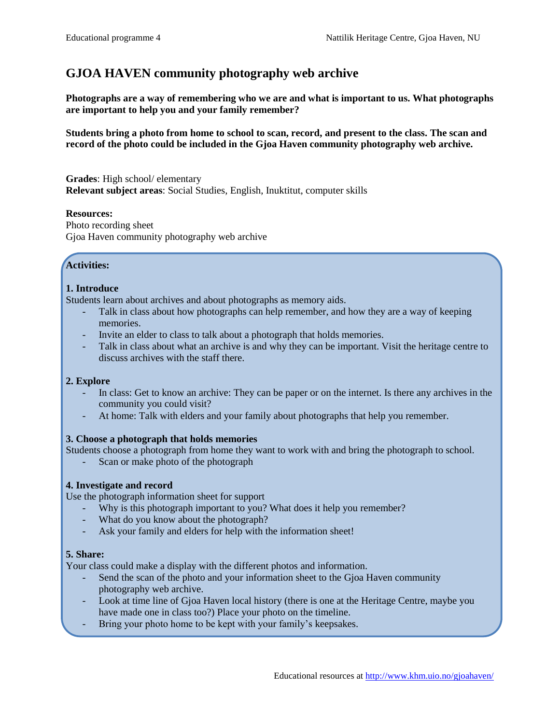# **GJOA HAVEN community photography web archive**

**Photographs are a way of remembering who we are and what is important to us. What photographs are important to help you and your family remember?**

**Students bring a photo from home to school to scan, record, and present to the class. The scan and record of the photo could be included in the Gjoa Haven community photography web archive.** 

**Grades**: High school/ elementary **Relevant subject areas**: Social Studies, English, Inuktitut, computer skills

#### **Resources:**

Photo recording sheet Gjoa Haven community photography web archive

## **Activities:**

## **1. Introduce**

Students learn about archives and about photographs as memory aids.

- Talk in class about how photographs can help remember, and how they are a way of keeping memories.
- Invite an elder to class to talk about a photograph that holds memories.
- Talk in class about what an archive is and why they can be important. Visit the heritage centre to discuss archives with the staff there.

#### **2. Explore**

- In class: Get to know an archive: They can be paper or on the internet. Is there any archives in the community you could visit?
- At home: Talk with elders and your family about photographs that help you remember.

#### **3. Choose a photograph that holds memories**

- Students choose a photograph from home they want to work with and bring the photograph to school.
	- Scan or make photo of the photograph

## **4. Investigate and record**

Use the photograph information sheet for support

- Why is this photograph important to you? What does it help you remember?
- What do you know about the photograph?
- Ask your family and elders for help with the information sheet!

#### **5. Share:**

Your class could make a display with the different photos and information.

- Send the scan of the photo and your information sheet to the Gjoa Haven community photography web archive.
- Look at time line of Gjoa Haven local history (there is one at the Heritage Centre, maybe you have made one in class too?) Place your photo on the timeline.
- Bring your photo home to be kept with your family's keepsakes.